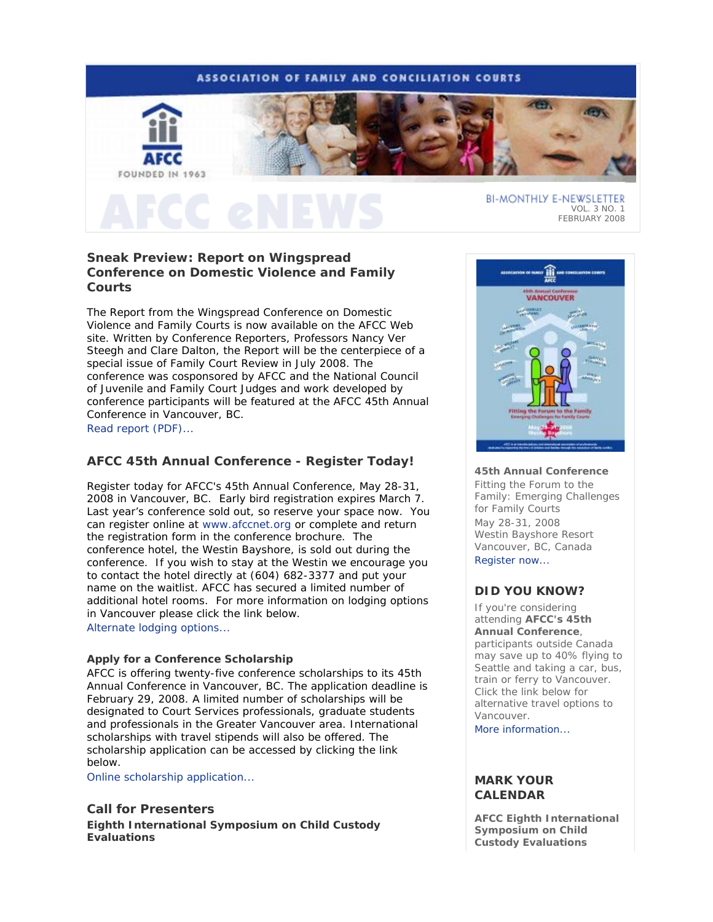# **ASSOCIATION OF FAMILY AND CONCILIATION COURTS**



# **Sneak Preview: Report on Wingspread Conference on Domestic Violence and Family Courts**

The Report from the Wingspread Conference on Domestic Violence and Family Courts is now available on the AFCC Web site. Written by Conference Reporters, Professors Nancy Ver Steegh and Clare Dalton, the Report will be the centerpiece of a special issue of *Family Court Review* in July 2008. The conference was cosponsored by AFCC and the National Council of Juvenile and Family Court Judges and work developed by conference participants will be featured at the AFCC 45th Annual Conference in Vancouver, BC. Read report (PDF)...

# **AFCC 45th Annual Conference - Register Today!**

Register today for AFCC's 45th Annual Conference, May 28-31, 2008 in Vancouver, BC. Early bird registration expires March 7. Last year's conference sold out, so reserve your space now. You can register online at www.afccnet.org or complete and return the registration form in the conference brochure. The conference hotel, the Westin Bayshore, is sold out during the conference. If you wish to stay at the Westin we encourage you to contact the hotel directly at (604) 682-3377 and put your name on the waitlist. AFCC has secured a limited number of additional hotel rooms. For more information on lodging options in Vancouver please click the link below.

Alternate lodging options...

# **Apply for a Conference Scholarship**

AFCC is offering twenty-five conference scholarships to its 45th Annual Conference in Vancouver, BC. The application deadline is February 29, 2008. A limited number of scholarships will be designated to Court Services professionals, graduate students and professionals in the Greater Vancouver area. International scholarships with travel stipends will also be offered. The scholarship application can be accessed by clicking the link below.

Online scholarship application...

# **Call for Presenters**

**Eighth International Symposium on Child Custody Evaluations** 



FEBRUARY 2008

## **45th Annual Conference**

*Fitting the Forum to the Family: Emerging Challenges for Family Courts* May 28-31, 2008 Westin Bayshore Resort Vancouver, BC, Canada Register now...

# **DID YOU KNOW?**

If you're considering attending **AFCC's 45th Annual Conference**, participants outside Canada may save up to 40% flying to Seattle and taking a car, bus, train or ferry to Vancouver. Click the link below for alternative travel options to Vancouver.

More information...

# **MARK YOUR CALENDAR**

**AFCC Eighth International Symposium on Child Custody Evaluations**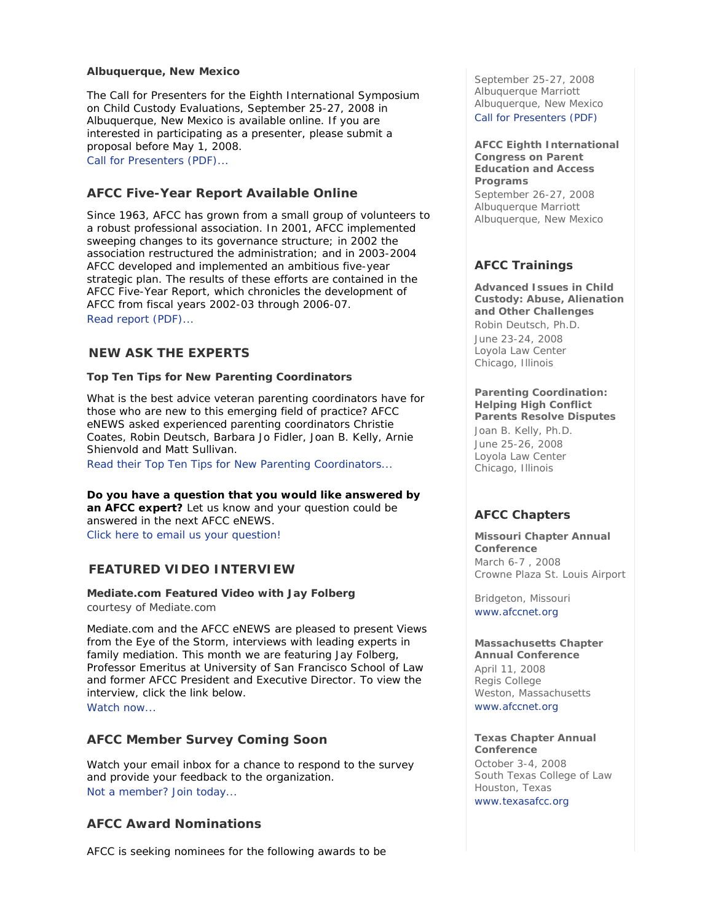## **Albuquerque, New Mexico**

The Call for Presenters for the Eighth International Symposium on Child Custody Evaluations, September 25-27, 2008 in Albuquerque, New Mexico is available online. If you are interested in participating as a presenter, please submit a proposal before May 1, 2008.

Call for Presenters (PDF)...

# **AFCC Five-Year Report Available Online**

Since 1963, AFCC has grown from a small group of volunteers to a robust professional association. In 2001, AFCC implemented sweeping changes to its governance structure; in 2002 the association restructured the administration; and in 2003-2004 AFCC developed and implemented an ambitious five-year strategic plan. The results of these efforts are contained in the AFCC Five-Year Report, which chronicles the development of AFCC from fiscal years 2002-03 through 2006-07. Read report (PDF)...

# *NEW* **ASK THE EXPERTS**

## **Top Ten Tips for New Parenting Coordinators**

What is the best advice veteran parenting coordinators have for those who are new to this emerging field of practice? *AFCC eNEWS* asked experienced parenting coordinators Christie Coates, Robin Deutsch, Barbara Jo Fidler, Joan B. Kelly, Arnie Shienvold and Matt Sullivan.

Read their Top Ten Tips for New Parenting Coordinators...

**Do you have a question that you would like answered by an AFCC expert?** Let us know and your question could be answered in the next *AFCC eNEWS*. *Click here to email us your question!*

# **FEATURED VIDEO INTERVIEW**

# **Mediate.com Featured Video with Jay Folberg**

*courtesy of Mediate.com*

Mediate.com and the *AFCC eNEWS* are pleased to present *Views from the Eye of the Storm*, interviews with leading experts in family mediation. This month we are featuring Jay Folberg, Professor Emeritus at University of San Francisco School of Law and former AFCC President and Executive Director. To view the interview, click the link below. Watch now...

# **AFCC Member Survey Coming Soon**

Watch your email inbox for a chance to respond to the survey and provide your feedback to the organization. Not a member? Join today...

# **AFCC Award Nominations**

AFCC is seeking nominees for the following awards to be

September 25-27, 2008 Albuquerque Marriott Albuquerque, New Mexico Call for Presenters (PDF)

**AFCC Eighth International Congress on Parent Education and Access Programs**  September 26-27, 2008 Albuquerque Marriott Albuquerque, New Mexico

# **AFCC Trainings**

**Advanced Issues in Child Custody: Abuse, Alienation and Other Challenges** *Robin Deutsch, Ph.D.* June 23-24, 2008 Loyola Law Center Chicago, Illinois

## **Parenting Coordination: Helping High Conflict Parents Resolve Disputes**

*Joan B. Kelly, Ph.D.* June 25-26, 2008 Loyola Law Center Chicago, Illinois

# **AFCC Chapters**

**Missouri Chapter Annual Conference** March 6-7 , 2008 Crowne Plaza St. Louis Airport

Bridgeton, Missouri www.afccnet.org

**Massachusetts Chapter Annual Conference** April 11, 2008 Regis College Weston, Massachusetts www.afccnet.org

**Texas Chapter Annual Conference** October 3-4, 2008 South Texas College of Law Houston, Texas www.texasafcc.org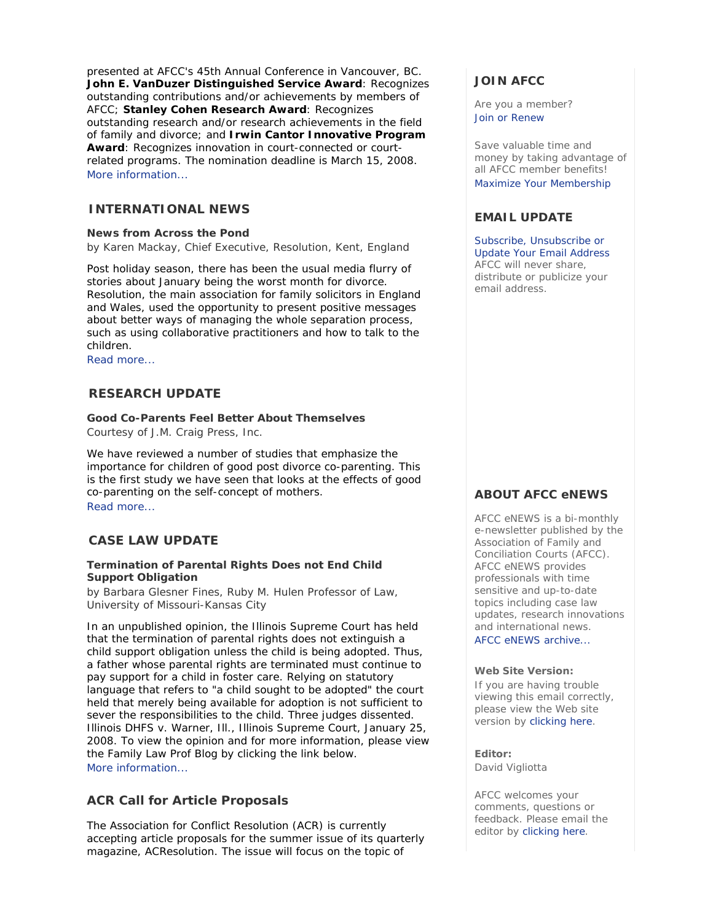presented at AFCC's 45th Annual Conference in Vancouver, BC. **John E. VanDuzer Distinguished Service Award**: Recognizes outstanding contributions and/or achievements by members of AFCC; **Stanley Cohen Research Award**: Recognizes outstanding research and/or research achievements in the field of family and divorce; and **Irwin Cantor Innovative Program Award**: Recognizes innovation in court-connected or courtrelated programs. The nomination deadline is March 15, 2008. More information...

# **INTERNATIONAL NEWS**

## **News from Across the Pond**

*by Karen Mackay, Chief Executive, Resolution, Kent, England*

Post holiday season, there has been the usual media flurry of stories about January being the worst month for divorce. Resolution, the main association for family solicitors in England and Wales, used the opportunity to present positive messages about better ways of managing the whole separation process, such as using collaborative practitioners and how to talk to the children.

Read more...

# **RESEARCH UPDATE**

## **Good Co-Parents Feel Better About Themselves**

*Courtesy of J.M. Craig Press, Inc.*

We have reviewed a number of studies that emphasize the importance for children of good post divorce co-parenting. This is the first study we have seen that looks at the effects of good co-parenting on the self-concept of mothers. Read more...

# **CASE LAW UPDATE**

## **Termination of Parental Rights Does not End Child Support Obligation**

*by Barbara Glesner Fines, Ruby M. Hulen Professor of Law, University of Missouri-Kansas City*

In an unpublished opinion, the Illinois Supreme Court has held that the termination of parental rights does not extinguish a child support obligation unless the child is being adopted. Thus, a father whose parental rights are terminated must continue to pay support for a child in foster care. Relying on statutory language that refers to "a child sought to be adopted" the court held that merely being available for adoption is not sufficient to sever the responsibilities to the child. Three judges dissented. Illinois DHFS v. Warner, Ill., Illinois Supreme Court, January 25, 2008. To view the opinion and for more information, please view the Family Law Prof Blog by clicking the link below. More information...

# **ACR Call for Article Proposals**

The Association for Conflict Resolution (ACR) is currently accepting article proposals for the summer issue of its quarterly magazine, *ACResolution*. The issue will focus on the topic of

# **JOIN AFCC**

Are you a member? Join or Renew

Save valuable time and money by taking advantage of all AFCC member benefits! Maximize Your Membership

# **EMAIL UPDATE**

Subscribe, Unsubscribe or Update Your Email Address AFCC will never share, distribute or publicize your email address.

# **ABOUT AFCC eNEWS**

*AFCC eNEWS* is a bi-monthly e-newsletter published by the Association of Family and Conciliation Courts (AFCC). *AFCC eNEWS* provides professionals with time sensitive and up-to-date topics including case law updates, research innovations and international news.

AFCC eNEWS archive...

## **Web Site Version:**

If you are having trouble viewing this email correctly, please view the Web site version by clicking here.

**Editor:**  David Vigliotta

AFCC welcomes your comments, questions or feedback. Please email the editor by clicking here.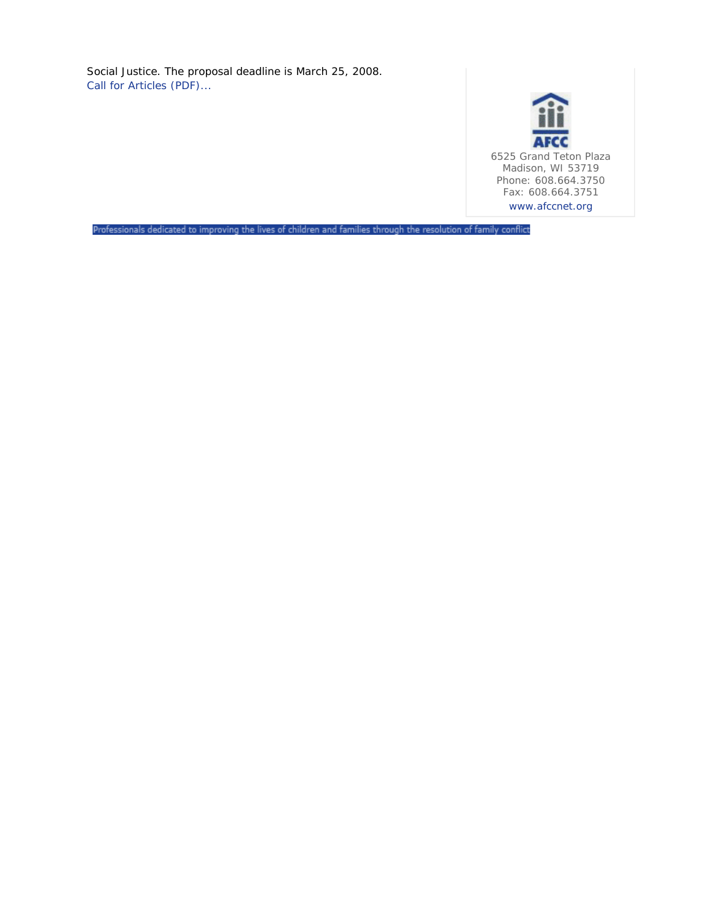Social Justice. The proposal deadline is March 25, 2008. Call for Articles (PDF)...



Professionals dedicated to improving the lives of children and families through the resolution of family conflict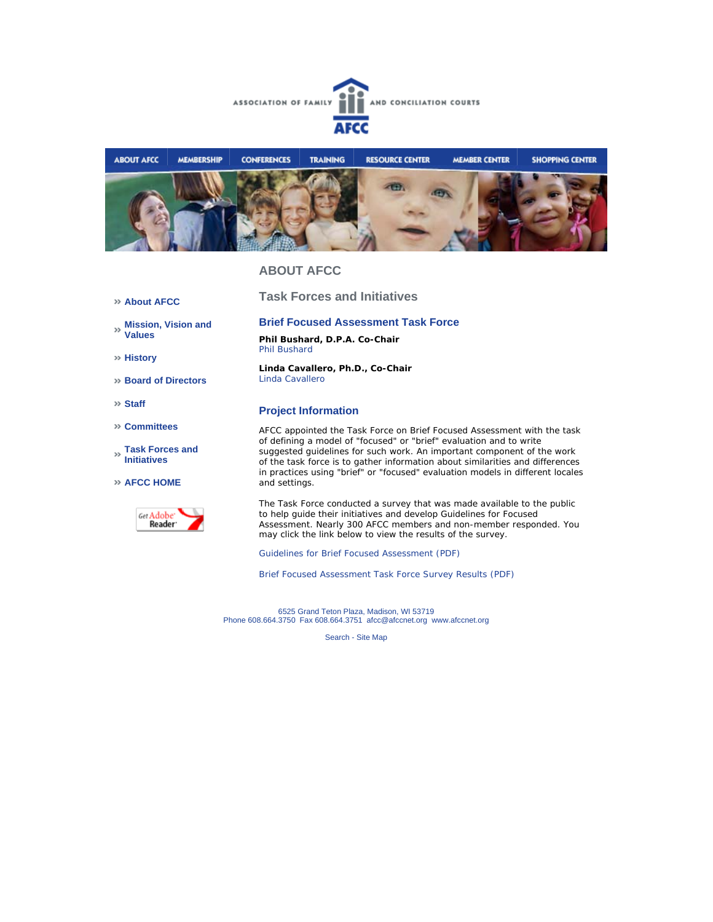



# **ABOUT AFCC**

**About AFCC** 

**Mission, Vision and Values**

**History**

**Board of Directors**

**Staff**

**Committees**

**Task Forces and Initiatives**

**AFCC HOME**



**Brief Focused Assessment Task Force** 

**Task Forces and Initiatives**

**Phil Bushard, D.P.A. Co-Chair** Phil Bushard

**Linda Cavallero, Ph.D., Co-Chair** Linda Cavallero

## **Project Information**

AFCC appointed the Task Force on Brief Focused Assessment with the task of defining a model of "focused" or "brief" evaluation and to write suggested guidelines for such work. An important component of the work of the task force is to gather information about similarities and differences in practices using "brief" or "focused" evaluation models in different locales and settings.

The Task Force conducted a survey that was made available to the public to help guide their initiatives and develop Guidelines for Focused Assessment. Nearly 300 AFCC members and non-member responded. You may click the link below to view the results of the survey.

Guidelines for Brief Focused Assessment (PDF)

Brief Focused Assessment Task Force Survey Results (PDF)

6525 Grand Teton Plaza, Madison, WI 53719 Phone 608.664.3750 Fax 608.664.3751 afcc@afccnet.org www.afccnet.org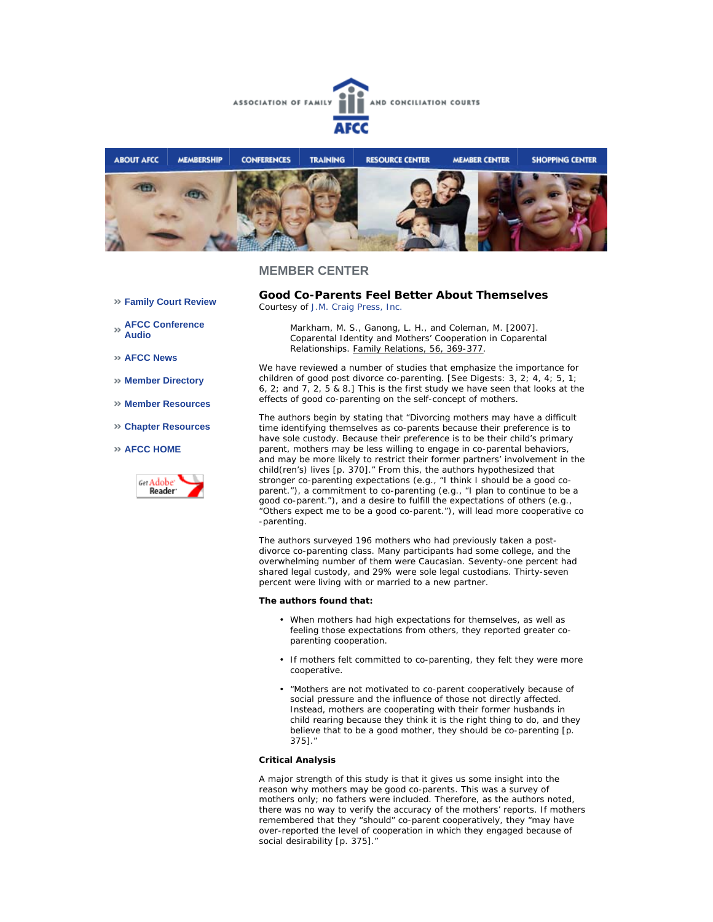



## **MEMBER CENTER**

**Family Court Review** 

**AFCC Conference Audio** 

- **AFCC News**
- **Member Directory**
- **Member Resources**
- **Chapter Resources**

#### **AFCC HOME**



**Good Co-Parents Feel Better About Themselves**  *Courtesy of J.M. Craig Press, Inc.*

> Markham, M. S., Ganong, L. H., and Coleman, M. [2007]. Coparental Identity and Mothers' Cooperation in Coparental Relationships. Family Relations, 56, 369-377.

We have reviewed a number of studies that emphasize the importance for children of good post divorce co-parenting. [See Digests: 3, 2; 4, 4; 5, 1; 6, 2; and 7, 2, 5 & 8.] This is the first study we have seen that looks at the effects of good co-parenting on the self-concept of mothers.

The authors begin by stating that "Divorcing mothers may have a difficult time identifying themselves as co-parents because their preference is to have sole custody. Because their preference is to be their child's primary parent, mothers may be less willing to engage in co-parental behaviors, and may be more likely to restrict their former partners' involvement in the child(ren's) lives [p. 370]." From this, the authors hypothesized that stronger co-parenting expectations (e.g., "I think I should be a good coparent."), a commitment to co-parenting (e.g., "I plan to continue to be a good co-parent."), and a desire to fulfill the expectations of others (e.g., "Others expect me to be a good co-parent."), will lead more cooperative co -parenting.

The authors surveyed 196 mothers who had previously taken a postdivorce co-parenting class. Many participants had some college, and the overwhelming number of them were Caucasian. Seventy-one percent had shared legal custody, and 29% were sole legal custodians. Thirty-seven percent were living with or married to a new partner.

#### **The authors found that:**

- When mothers had high expectations for themselves, as well as feeling those expectations from others, they reported greater coparenting cooperation.
- If mothers felt committed to co-parenting, they felt they were more cooperative.
- "Mothers are not motivated to co-parent cooperatively because of social pressure and the influence of those not directly affected. Instead, mothers are cooperating with their former husbands in child rearing because they think it is the right thing to do, and they believe that to be a good mother, they should be co-parenting [p. 375]."

### **Critical Analysis**

A major strength of this study is that it gives us some insight into the reason why mothers may be good co-parents. This was a survey of mothers only; no fathers were included. Therefore, as the authors noted, there was no way to verify the accuracy of the mothers' reports. If mothers remembered that they "should" co-parent cooperatively, they "may have over-reported the level of cooperation in which they engaged because of social desirability [p. 375]."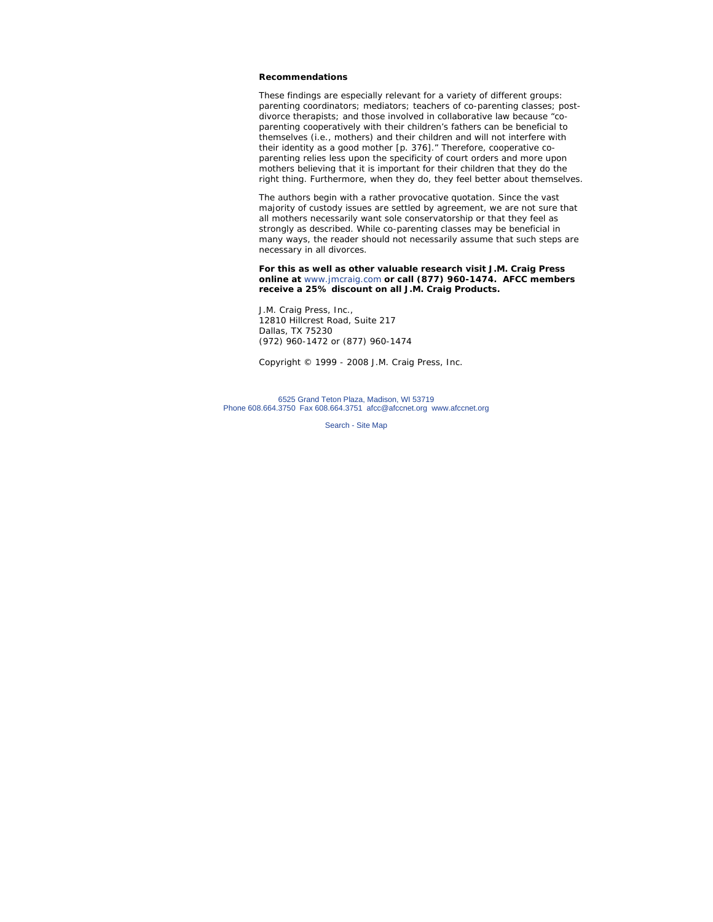#### **Recommendations**

These findings are especially relevant for a variety of different groups: parenting coordinators; mediators; teachers of co-parenting classes; postdivorce therapists; and those involved in collaborative law because "coparenting cooperatively with their children's fathers can be beneficial to themselves (i.e., mothers) and their children and will not interfere with their identity as a good mother [p. 376]." Therefore, cooperative coparenting relies less upon the specificity of court orders and more upon mothers believing that it is important for their children that they do the right thing. Furthermore, when they do, they feel better about themselves.

The authors begin with a rather provocative quotation. Since the vast majority of custody issues are settled by agreement, we are not sure that all mothers necessarily want sole conservatorship or that they feel as strongly as described. While co-parenting classes may be beneficial in many ways, the reader should not necessarily assume that such steps are necessary in all divorces.

**For this as well as other valuable research visit J.M. Craig Press online at** www.jmcraig.com **or call (877) 960-1474. AFCC members receive a 25% discount on all J.M. Craig Products.**

J.M. Craig Press, Inc., 12810 Hillcrest Road, Suite 217 Dallas, TX 75230 (972) 960-1472 or (877) 960-1474

*Copyright © 1999 - 2008 J.M. Craig Press, Inc.*

6525 Grand Teton Plaza, Madison, WI 53719 Phone 608.664.3750 Fax 608.664.3751 afcc@afccnet.org www.afccnet.org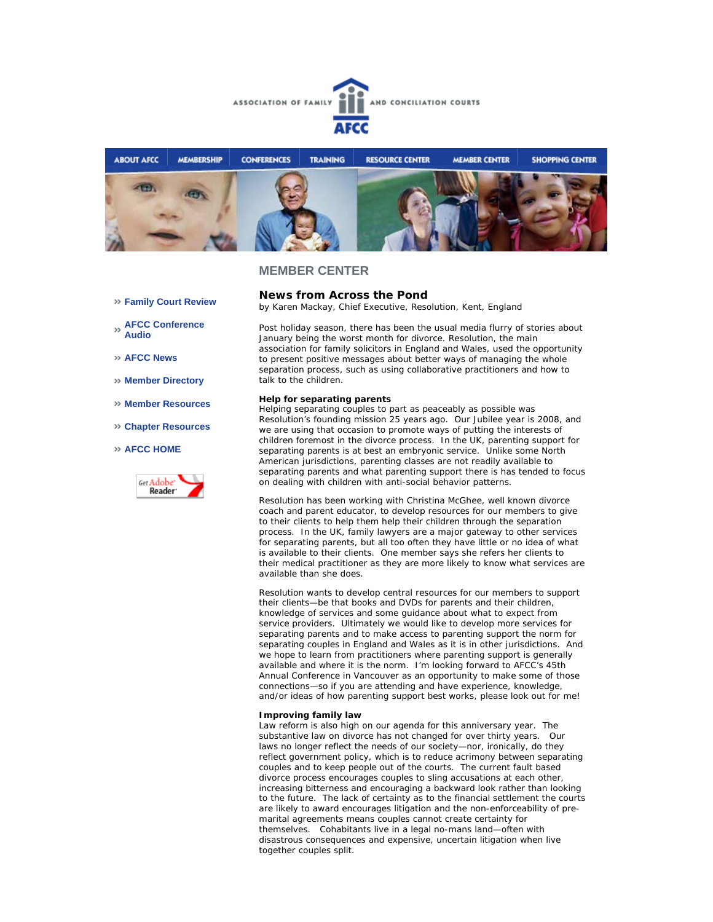



## **MEMBER CENTER**

- **Family Court Review**
- **AFCC Conference Audio**
- **AFCC News**
- **Member Directory**
- **Member Resources**
- **Chapter Resources**
- **AFCC HOME**



### **News from Across the Pond**  *by Karen Mackay, Chief Executive, Resolution, Kent, England*

Post holiday season, there has been the usual media flurry of stories about January being the worst month for divorce. Resolution, the main association for family solicitors in England and Wales, used the opportunity to present positive messages about better ways of managing the whole separation process, such as using collaborative practitioners and how to talk to the children.

#### **Help for separating parents**

Helping separating couples to part as peaceably as possible was Resolution's founding mission 25 years ago. Our Jubilee year is 2008, and we are using that occasion to promote ways of putting the interests of children foremost in the divorce process. In the UK, parenting support for separating parents is at best an embryonic service. Unlike some North American jurisdictions, parenting classes are not readily available to separating parents and what parenting support there is has tended to focus on dealing with children with anti-social behavior patterns.

Resolution has been working with Christina McGhee, well known divorce coach and parent educator, to develop resources for our members to give to their clients to help them help their children through the separation process. In the UK, family lawyers are a major gateway to other services for separating parents, but all too often they have little or no idea of what is available to their clients. One member says she refers her clients to their medical practitioner as they are more likely to know what services are available than she does.

Resolution wants to develop central resources for our members to support their clients—be that books and DVDs for parents and their children, knowledge of services and some guidance about what to expect from service providers. Ultimately we would like to develop more services for separating parents and to make access to parenting support the norm for separating couples in England and Wales as it is in other jurisdictions. And we hope to learn from practitioners where parenting support is generally available and where it is the norm. I'm looking forward to AFCC's 45th Annual Conference in Vancouver as an opportunity to make some of those connections—so if you are attending and have experience, knowledge, and/or ideas of how parenting support best works, please look out for me!

#### **Improving family law**

Law reform is also high on our agenda for this anniversary year. The substantive law on divorce has not changed for over thirty years. Our laws no longer reflect the needs of our society—nor, ironically, do they reflect government policy, which is to reduce acrimony between separating couples and to keep people out of the courts. The current fault based divorce process encourages couples to sling accusations at each other, increasing bitterness and encouraging a backward look rather than looking to the future. The lack of certainty as to the financial settlement the courts are likely to award encourages litigation and the non-enforceability of premarital agreements means couples cannot create certainty for themselves. Cohabitants live in a legal no-mans land—often with disastrous consequences and expensive, uncertain litigation when live together couples split.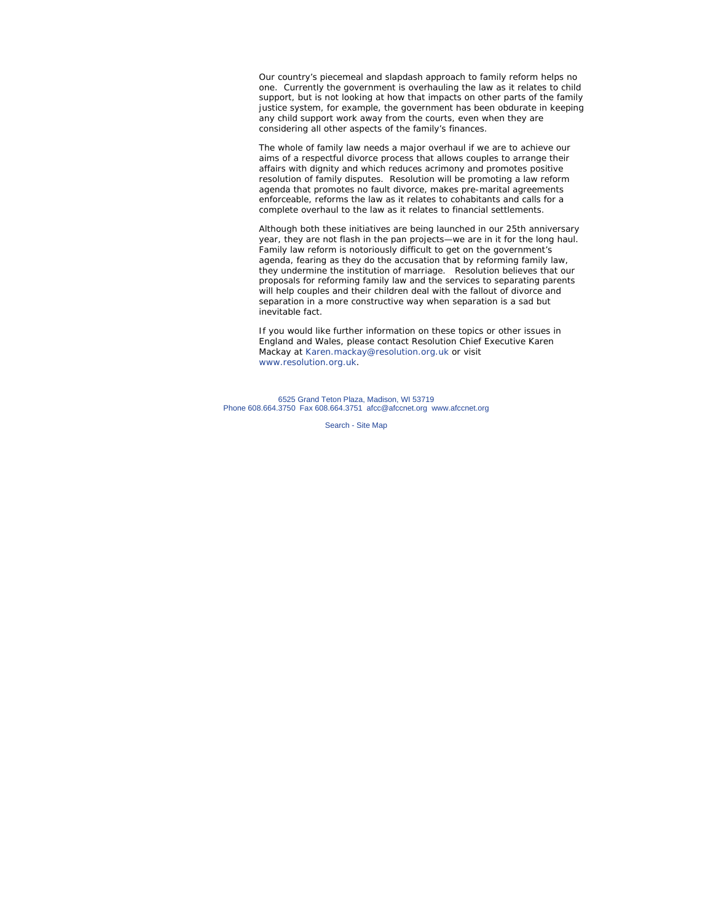Our country's piecemeal and slapdash approach to family reform helps no one. Currently the government is overhauling the law as it relates to child support, but is not looking at how that impacts on other parts of the family justice system, for example, the government has been obdurate in keeping any child support work away from the courts, even when they are considering all other aspects of the family's finances.

The whole of family law needs a major overhaul if we are to achieve our aims of a respectful divorce process that allows couples to arrange their affairs with dignity and which reduces acrimony and promotes positive resolution of family disputes. Resolution will be promoting a law reform agenda that promotes no fault divorce, makes pre-marital agreements enforceable, reforms the law as it relates to cohabitants and calls for a complete overhaul to the law as it relates to financial settlements.

Although both these initiatives are being launched in our 25th anniversary year, they are not flash in the pan projects—we are in it for the long haul. Family law reform is notoriously difficult to get on the government's agenda, fearing as they do the accusation that by reforming family law, they undermine the institution of marriage. Resolution believes that our proposals for reforming family law and the services to separating parents will help couples and their children deal with the fallout of divorce and separation in a more constructive way when separation is a sad but inevitable fact.

*If you would like further information on these topics or other issues in England and Wales, please contact Resolution Chief Executive Karen Mackay at Karen.mackay@resolution.org.uk or visit www.resolution.org.uk.* 

6525 Grand Teton Plaza, Madison, WI 53719 Phone 608.664.3750 Fax 608.664.3751 afcc@afccnet.org www.afccnet.org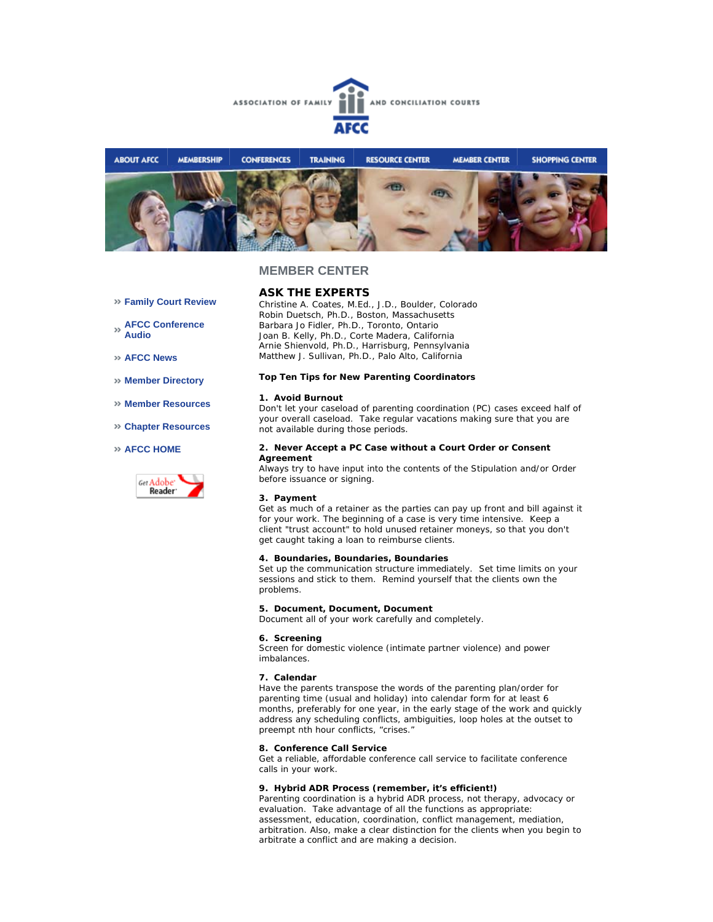



## **MEMBER CENTER**

# **ASK THE EXPERTS**

*Christine A. Coates, M.Ed., J.D., Boulder, Colorado Robin Duetsch, Ph.D., Boston, Massachusetts Barbara Jo Fidler, Ph.D., Toronto, Ontario Joan B. Kelly, Ph.D., Corte Madera, California Arnie Shienvold, Ph.D., Harrisburg, Pennsylvania Matthew J. Sullivan, Ph.D., Palo Alto, California*

#### **Top Ten Tips for New Parenting Coordinators**

#### **1. Avoid Burnout**

Don't let your caseload of parenting coordination (PC) cases exceed half of your overall caseload. Take regular vacations making sure that you are not available during those periods.

#### **2. Never Accept a PC Case without a Court Order or Consent Agreement**

Always try to have input into the contents of the Stipulation and/or Order before issuance or signing.

## **3. Payment**

Get as much of a retainer as the parties can pay up front and bill against it for your work. The beginning of a case is very time intensive. Keep a client "trust account" to hold unused retainer moneys, so that you don't get caught taking a loan to reimburse clients.

## **4. Boundaries, Boundaries, Boundaries**

Set up the communication structure immediately. Set time limits on your sessions and stick to them. Remind yourself that the clients own the problems.

## **5. Document, Document, Document**

Document all of your work carefully and completely.

#### **6. Screening**

Screen for domestic violence (intimate partner violence) and power imbalances.

#### **7. Calendar**

Have the parents transpose the words of the parenting plan/order for parenting time (usual and holiday) into calendar form for at least 6 months, preferably for one year, in the early stage of the work and quickly address any scheduling conflicts, ambiguities, loop holes at the outset to preempt nth hour conflicts, "crises."

#### **8. Conference Call Service**

Get a reliable, affordable conference call service to facilitate conference calls in your work.

#### **9. Hybrid ADR Process (remember, it's efficient!)**

Parenting coordination is a hybrid ADR process, not therapy, advocacy or evaluation. Take advantage of all the functions as appropriate: assessment, education, coordination, conflict management, mediation, arbitration. Also, make a clear distinction for the clients when you begin to arbitrate a conflict and are making a decision.

**AFCC News** 

**Audio** 

**Member Directory** 

**Family Court Review** 

**AFCC Conference** 

- **Member Resources**
- **Chapter Resources**

### **AFCC HOME**